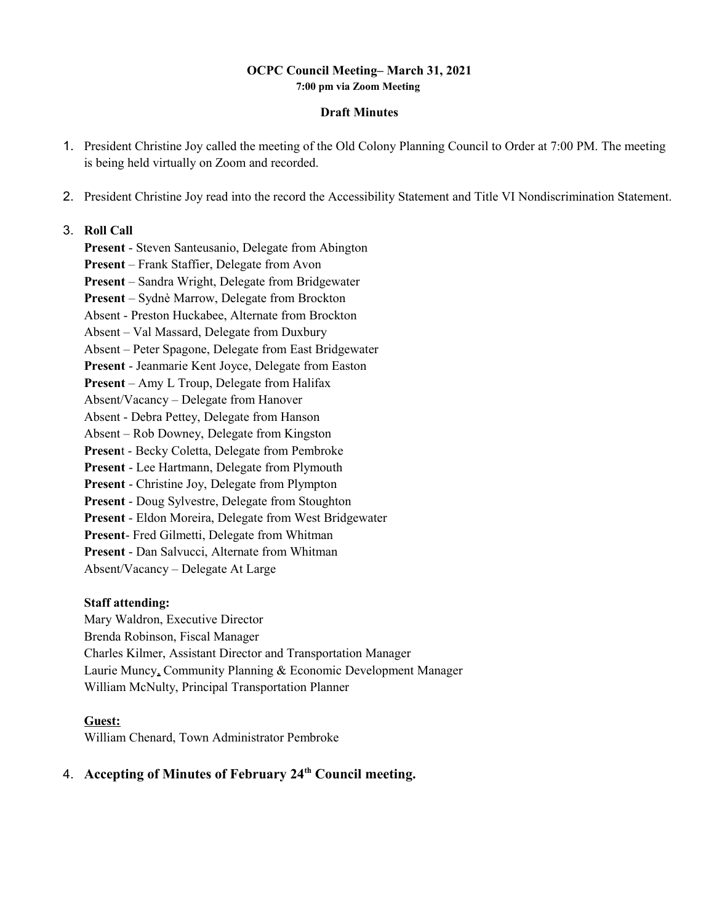### **OCPC Council Meeting– March 31, 2021 7:00 pm via Zoom Meeting**

#### **Draft Minutes**

- 1. President Christine Joy called the meeting of the Old Colony Planning Council to Order at 7:00 PM. The meeting is being held virtually on Zoom and recorded.
- 2. President Christine Joy read into the record the Accessibility Statement and Title VI Nondiscrimination Statement.

### 3. **Roll Call**

**Present** - Steven Santeusanio, Delegate from Abington **Present** – Frank Staffier, Delegate from Avon **Present** – Sandra Wright, Delegate from Bridgewater **Present** – Sydnѐ Marrow, Delegate from Brockton Absent - Preston Huckabee, Alternate from Brockton Absent – Val Massard, Delegate from Duxbury Absent – Peter Spagone, Delegate from East Bridgewater **Present** - Jeanmarie Kent Joyce, Delegate from Easton **Present** – Amy L Troup, Delegate from Halifax Absent/Vacancy – Delegate from Hanover Absent - Debra Pettey, Delegate from Hanson Absent – Rob Downey, Delegate from Kingston **Presen**t - Becky Coletta, Delegate from Pembroke **Present** - Lee Hartmann, Delegate from Plymouth **Present** - Christine Joy, Delegate from Plympton **Present** - Doug Sylvestre, Delegate from Stoughton **Present** - Eldon Moreira, Delegate from West Bridgewater **Present**- Fred Gilmetti, Delegate from Whitman **Present** - Dan Salvucci, Alternate from Whitman Absent/Vacancy – Delegate At Large

### **Staff attending:**

Mary Waldron, Executive Director Brenda Robinson, Fiscal Manager Charles Kilmer, Assistant Director and Transportation Manager Laurie Muncy, Community Planning & Economic Development Manager William McNulty, Principal Transportation Planner

### **Guest:**

William Chenard, Town Administrator Pembroke

# 4. **Accepting of Minutes of February 24th Council meeting.**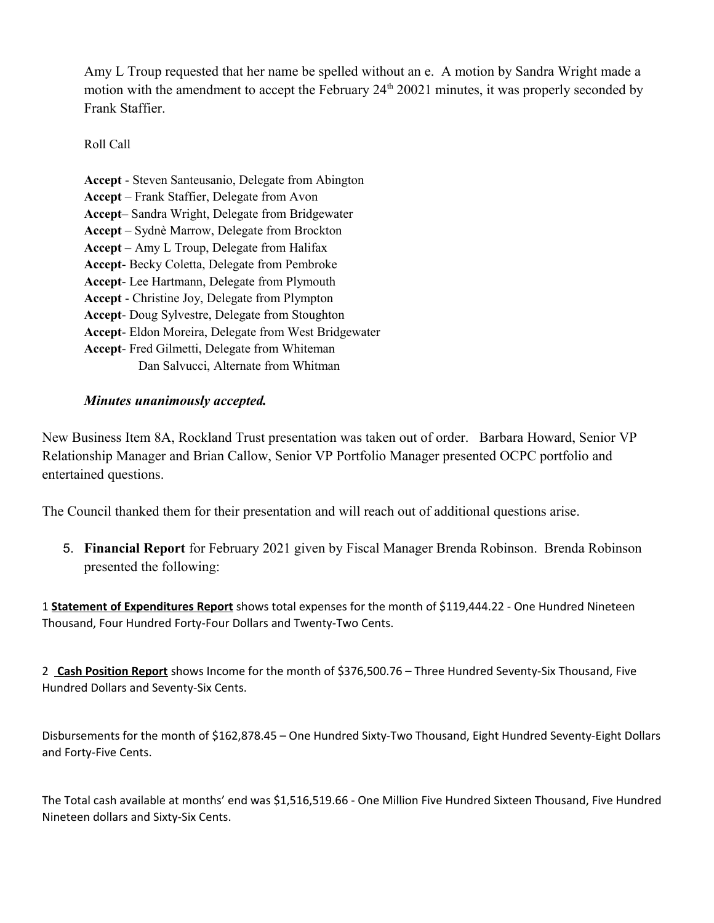Amy L Troup requested that her name be spelled without an e. A motion by Sandra Wright made a motion with the amendment to accept the February 24<sup>th</sup> 20021 minutes, it was properly seconded by Frank Staffier.

Roll Call

**Accept** - Steven Santeusanio, Delegate from Abington **Accept** – Frank Staffier, Delegate from Avon **Accept**– Sandra Wright, Delegate from Bridgewater **Accept** – Sydnѐ Marrow, Delegate from Brockton **Accept –** Amy L Troup, Delegate from Halifax **Accept**- Becky Coletta, Delegate from Pembroke **Accept**- Lee Hartmann, Delegate from Plymouth **Accept** - Christine Joy, Delegate from Plympton **Accept**- Doug Sylvestre, Delegate from Stoughton **Accept**- Eldon Moreira, Delegate from West Bridgewater **Accept**- Fred Gilmetti, Delegate from Whiteman Dan Salvucci, Alternate from Whitman

## *Minutes unanimously accepted.*

New Business Item 8A, Rockland Trust presentation was taken out of order. Barbara Howard, Senior VP Relationship Manager and Brian Callow, Senior VP Portfolio Manager presented OCPC portfolio and entertained questions.

The Council thanked them for their presentation and will reach out of additional questions arise.

5. **Financial Report** for February 2021 given by Fiscal Manager Brenda Robinson. Brenda Robinson presented the following:

1 **Statement of Expenditures Report** shows total expenses for the month of \$119,444.22 - One Hundred Nineteen Thousand, Four Hundred Forty-Four Dollars and Twenty-Two Cents.

2 **Cash Position Report** shows Income for the month of \$376,500.76 – Three Hundred Seventy-Six Thousand, Five Hundred Dollars and Seventy-Six Cents.

Disbursements for the month of \$162,878.45 – One Hundred Sixty-Two Thousand, Eight Hundred Seventy-Eight Dollars and Forty-Five Cents.

The Total cash available at months' end was \$1,516,519.66 - One Million Five Hundred Sixteen Thousand, Five Hundred Nineteen dollars and Sixty-Six Cents.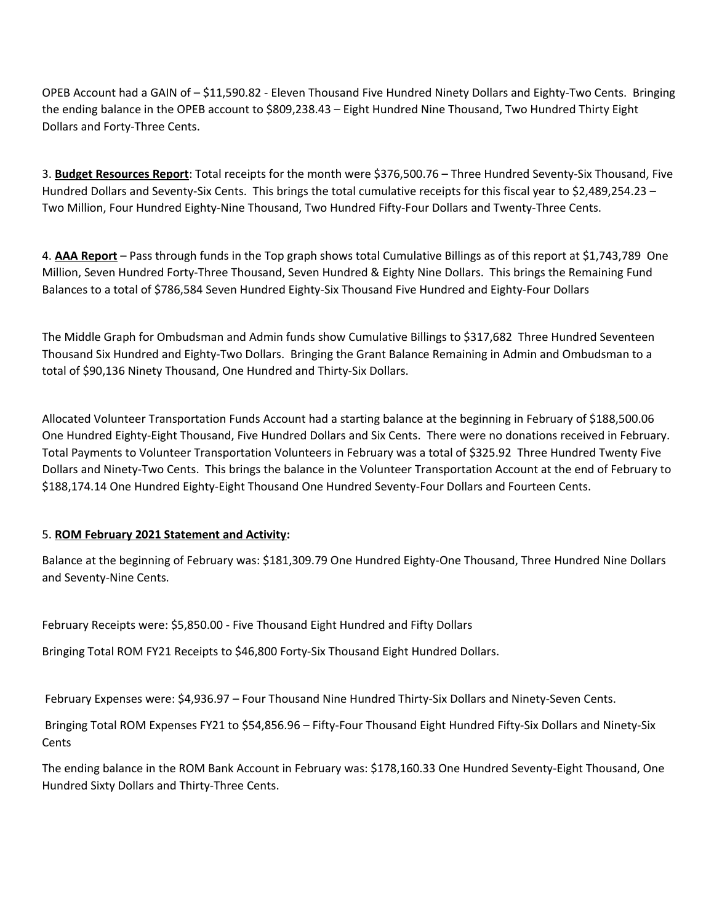OPEB Account had a GAIN of – \$11,590.82 - Eleven Thousand Five Hundred Ninety Dollars and Eighty-Two Cents. Bringing the ending balance in the OPEB account to \$809,238.43 – Eight Hundred Nine Thousand, Two Hundred Thirty Eight Dollars and Forty-Three Cents.

3. **Budget Resources Report**: Total receipts for the month were \$376,500.76 – Three Hundred Seventy-Six Thousand, Five Hundred Dollars and Seventy-Six Cents. This brings the total cumulative receipts for this fiscal year to \$2,489,254.23 – Two Million, Four Hundred Eighty-Nine Thousand, Two Hundred Fifty-Four Dollars and Twenty-Three Cents.

4. **AAA Report** – Pass through funds in the Top graph shows total Cumulative Billings as of this report at \$1,743,789 One Million, Seven Hundred Forty-Three Thousand, Seven Hundred & Eighty Nine Dollars. This brings the Remaining Fund Balances to a total of \$786,584 Seven Hundred Eighty-Six Thousand Five Hundred and Eighty-Four Dollars

The Middle Graph for Ombudsman and Admin funds show Cumulative Billings to \$317,682 Three Hundred Seventeen Thousand Six Hundred and Eighty-Two Dollars. Bringing the Grant Balance Remaining in Admin and Ombudsman to a total of \$90,136 Ninety Thousand, One Hundred and Thirty-Six Dollars.

Allocated Volunteer Transportation Funds Account had a starting balance at the beginning in February of \$188,500.06 One Hundred Eighty-Eight Thousand, Five Hundred Dollars and Six Cents. There were no donations received in February. Total Payments to Volunteer Transportation Volunteers in February was a total of \$325.92 Three Hundred Twenty Five Dollars and Ninety-Two Cents. This brings the balance in the Volunteer Transportation Account at the end of February to \$188,174.14 One Hundred Eighty-Eight Thousand One Hundred Seventy-Four Dollars and Fourteen Cents.

## 5. **ROM February 2021 Statement and Activity:**

Balance at the beginning of February was: \$181,309.79 One Hundred Eighty-One Thousand, Three Hundred Nine Dollars and Seventy-Nine Cents.

February Receipts were: \$5,850.00 - Five Thousand Eight Hundred and Fifty Dollars

Bringing Total ROM FY21 Receipts to \$46,800 Forty-Six Thousand Eight Hundred Dollars.

February Expenses were: \$4,936.97 – Four Thousand Nine Hundred Thirty-Six Dollars and Ninety-Seven Cents.

 Bringing Total ROM Expenses FY21 to \$54,856.96 – Fifty-Four Thousand Eight Hundred Fifty-Six Dollars and Ninety-Six **Cents** 

The ending balance in the ROM Bank Account in February was: \$178,160.33 One Hundred Seventy-Eight Thousand, One Hundred Sixty Dollars and Thirty-Three Cents.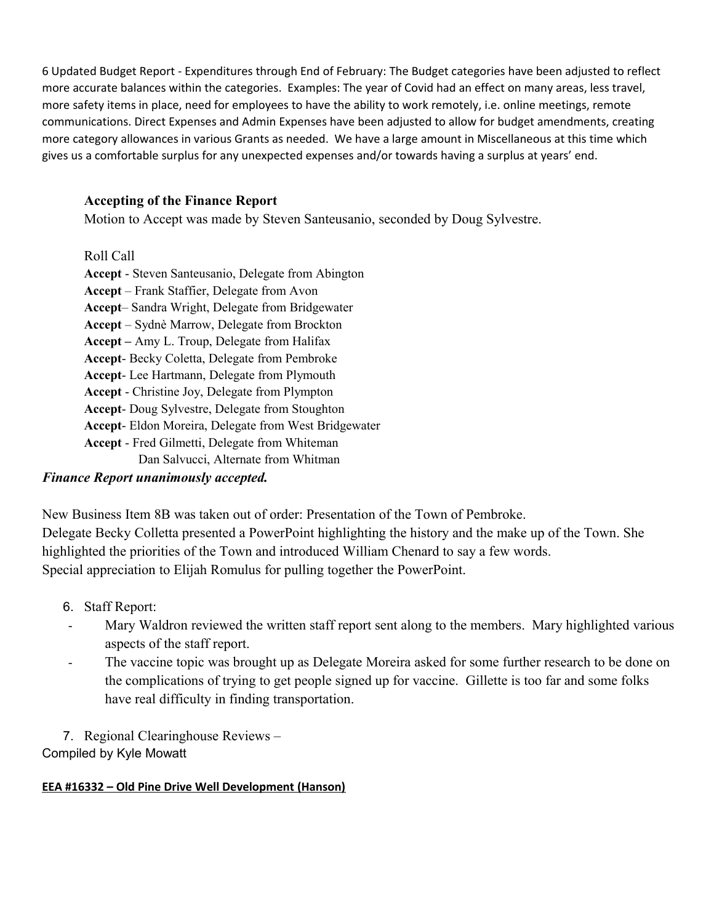6 Updated Budget Report - Expenditures through End of February: The Budget categories have been adjusted to reflect more accurate balances within the categories. Examples: The year of Covid had an effect on many areas, less travel, more safety items in place, need for employees to have the ability to work remotely, i.e. online meetings, remote communications. Direct Expenses and Admin Expenses have been adjusted to allow for budget amendments, creating more category allowances in various Grants as needed. We have a large amount in Miscellaneous at this time which gives us a comfortable surplus for any unexpected expenses and/or towards having a surplus at years' end.

# **Accepting of the Finance Report**

Motion to Accept was made by Steven Santeusanio, seconded by Doug Sylvestre.

Roll Call

**Accept** - Steven Santeusanio, Delegate from Abington **Accept** – Frank Staffier, Delegate from Avon **Accept**– Sandra Wright, Delegate from Bridgewater **Accept** – Sydnѐ Marrow, Delegate from Brockton **Accept –** Amy L. Troup, Delegate from Halifax **Accept**- Becky Coletta, Delegate from Pembroke **Accept**- Lee Hartmann, Delegate from Plymouth **Accept** - Christine Joy, Delegate from Plympton **Accept**- Doug Sylvestre, Delegate from Stoughton **Accept**- Eldon Moreira, Delegate from West Bridgewater **Accept** - Fred Gilmetti, Delegate from Whiteman Dan Salvucci, Alternate from Whitman

# *Finance Report unanimously accepted.*

New Business Item 8B was taken out of order: Presentation of the Town of Pembroke. Delegate Becky Colletta presented a PowerPoint highlighting the history and the make up of the Town. She highlighted the priorities of the Town and introduced William Chenard to say a few words. Special appreciation to Elijah Romulus for pulling together the PowerPoint.

- 6. Staff Report:
- Mary Waldron reviewed the written staff report sent along to the members. Mary highlighted various aspects of the staff report.
- The vaccine topic was brought up as Delegate Moreira asked for some further research to be done on the complications of trying to get people signed up for vaccine. Gillette is too far and some folks have real difficulty in finding transportation.

7. Regional Clearinghouse Reviews – Compiled by Kyle Mowatt

## **EEA #16332 – Old Pine Drive Well Development (Hanson)**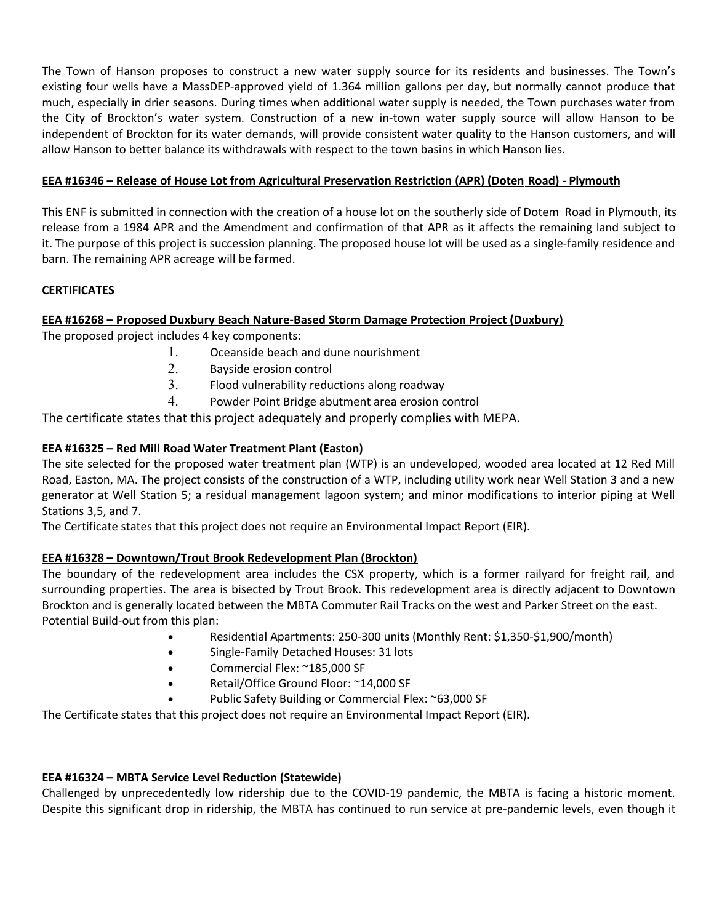The Town of Hanson proposes to construct a new water supply source for its residents and businesses. The Town's existing four wells have a MassDEP-approved yield of 1.364 million gallons per day, but normally cannot produce that much, especially in drier seasons. During times when additional water supply is needed, the Town purchases water from the City of Brockton's water system. Construction of a new in-town water supply source will allow Hanson to be independent of Brockton for its water demands, will provide consistent water quality to the Hanson customers, and will allow Hanson to better balance its withdrawals with respect to the town basins in which Hanson lies. 

## **EEA #16346 – Release of House Lot from Agricultural Preservation Restriction (APR) (Doten Road) - Plymouth**

This ENF is submitted in connection with the creation of a house lot on the southerly side of Dotem  Road in Plymouth, its release from a 1984 APR and the Amendment and confirmation of that APR as it affects the remaining land subject to it. The purpose of this project is succession planning. The proposed house lot will be used as a single-family residence and barn. The remaining APR acreage will be farmed. 

## **CERTIFICATES**

## **EEA #16268 – Proposed Duxbury Beach Nature-Based Storm Damage Protection Project (Duxbury)**

The proposed project includes 4 key components: 

- 1. Oceanside beach and dune nourishment
- 2. Bayside erosion control
- 3. Flood vulnerability reductions along roadway
- 4. Powder Point Bridge abutment area erosion control

The certificate states that this project adequately and properly complies with MEPA.

## **EEA #16325 – Red Mill Road Water Treatment Plant (Easton)**

The site selected for the proposed water treatment plan (WTP) is an undeveloped, wooded area located at 12 Red Mill Road, Easton, MA. The project consists of the construction of a WTP, including utility work near Well Station 3 and a new generator at Well Station 5; a residual management lagoon system; and minor modifications to interior piping at Well Stations 3,5, and 7. 

The Certificate states that this project does not require an Environmental Impact Report (EIR). 

## **EEA #16328 – Downtown/Trout Brook Redevelopment Plan (Brockton)**

The boundary of the redevelopment area includes the CSX property, which is a former railyard for freight rail, and surrounding properties. The area is bisected by Trout Brook. This redevelopment area is directly adjacent to Downtown Brockton and is generally located between the MBTA Commuter Rail Tracks on the west and Parker Street on the east.  Potential Build-out from this plan: 

- Residential Apartments: 250-300 units (Monthly Rent: \$1,350-\$1,900/month)
- Single-Family Detached Houses: 31 lots
- Commercial Flex: ~185,000 SF
- Retail/Office Ground Floor: ~14,000 SF
- Public Safety Building or Commercial Flex: ~63,000 SF

The Certificate states that this project does not require an Environmental Impact Report (EIR). 

## **EEA #16324 – MBTA Service Level Reduction (Statewide)**

Challenged by unprecedentedly low ridership due to the COVID-19 pandemic, the MBTA is facing a historic moment. Despite this significant drop in ridership, the MBTA has continued to run service at pre-pandemic levels, even though it